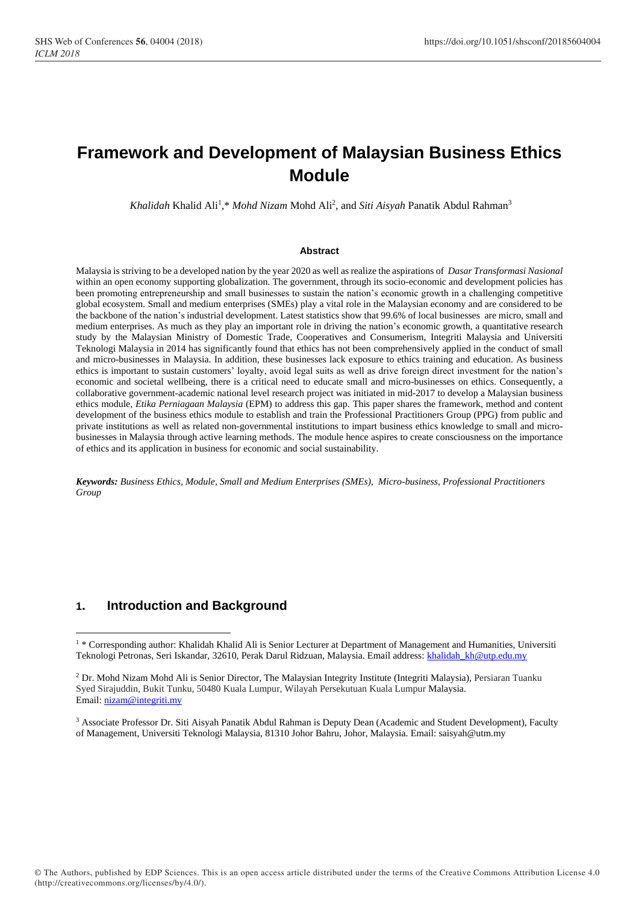# **Framework and Development of Malaysian Business Ethics Module**

Khalidah Khalid Ali<sup>1</sup>,\* *Mohd Nizam* Mohd Ali<sup>2</sup>, and *Siti Aisyah* Panatik Abdul Rahman<sup>3</sup>

#### **Abstract**

Malaysia is striving to be a developed nation by the year 2020 as well as realize the aspirations of *Dasar Transformasi Nasional* within an open economy supporting globalization. The government, through its socio-economic and development policies has been promoting entrepreneurship and small businesses to sustain the nation's economic growth in a challenging competitive global ecosystem. Small and medium enterprises (SMEs) play a vital role in the Malaysian economy and are considered to be the backbone of the nation's industrial development. Latest statistics show that 99.6% of local businesses are micro, small and medium enterprises. As much as they play an important role in driving the nation's economic growth, a quantitative research study by the Malaysian Ministry of Domestic Trade, Cooperatives and Consumerism, Integriti Malaysia and Universiti Teknologi Malaysia in 2014 has significantly found that ethics has not been comprehensively applied in the conduct of small and micro-businesses in Malaysia. In addition, these businesses lack exposure to ethics training and education. As business ethics is important to sustain customers' loyalty, avoid legal suits as well as drive foreign direct investment for the nation's economic and societal wellbeing, there is a critical need to educate small and micro-businesses on ethics. Consequently, a collaborative government-academic national level research project was initiated in mid-2017 to develop a Malaysian business ethics module, *Etika Perniagaan Malaysia* (EPM) to address this gap. This paper shares the framework, method and content development of the business ethics module to establish and train the Professional Practitioners Group (PPG) from public and private institutions as well as related non-governmental institutions to impart business ethics knowledge to small and microbusinesses in Malaysia through active learning methods. The module hence aspires to create consciousness on the importance of ethics and its application in business for economic and social sustainability.

*Keywords: Business Ethics, Module, Small and Medium Enterprises (SMEs), Micro-business, Professional Practitioners Group*

# **1. Introduction and Background**

1

<sup>3</sup> Associate Professor Dr. Siti Aisyah Panatik Abdul Rahman is Deputy Dean (Academic and Student Development), Faculty of Management, Universiti Teknologi Malaysia, 81310 Johor Bahru, Johor, Malaysia. Email: saisyah@utm.my

<sup>&</sup>lt;sup>1</sup>\* Corresponding author: Khalidah Khalid Ali is Senior Lecturer at Department of Management and Humanities, Universiti Teknologi Petronas, Seri Iskandar, 32610, Perak Darul Ridzuan, Malaysia. Email address: [khalidah\\_kh@utp.edu.my](mailto:khalidah_kh@utp.edu.my)

<sup>2</sup> Dr. Mohd Nizam Mohd Ali is Senior Director, The Malaysian Integrity Institute (Integriti Malaysia), Persiaran Tuanku Syed Sirajuddin, Bukit Tunku, 50480 Kuala Lumpur, Wilayah Persekutuan Kuala Lumpur Malaysia. Email: <u>nizam@integriti.my</u>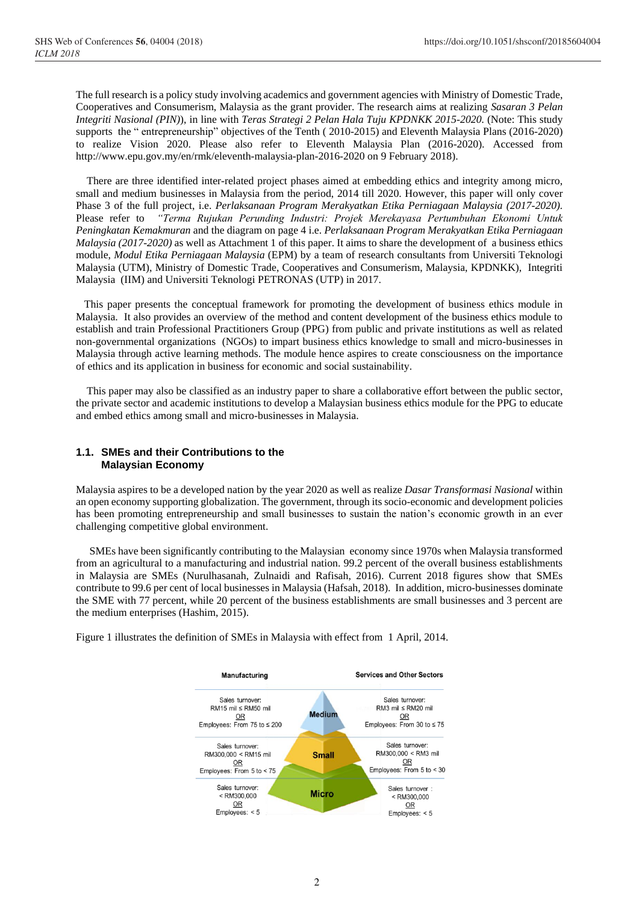The full research is a policy study involving academics and government agencies with Ministry of Domestic Trade, Cooperatives and Consumerism, Malaysia as the grant provider. The research aims at realizing *Sasaran 3 Pelan Integriti Nasional (PIN)*), in line with *Teras Strategi 2 Pelan Hala Tuju KPDNKK 2015-2020.* (Note: This study supports the " entrepreneurship" objectives of the Tenth ( 2010-2015) and Eleventh Malaysia Plans (2016-2020) to realize Vision 2020. Please also refer to Eleventh Malaysia Plan (2016-2020). Accessed from [http://www.epu.gov.my/en/rmk/eleventh-malaysia-plan-2016-2020 on 9 February 2018\)](http://www.epu.gov.my/en/rmk/eleventh-malaysia-plan-2016-2020%20on%209%20February%202018).

 There are three identified inter-related project phases aimed at embedding ethics and integrity among micro, small and medium businesses in Malaysia from the period, 2014 till 2020. However, this paper will only cover Phase 3 of the full project, i.e. *Perlaksanaan Program Merakyatkan Etika Perniagaan Malaysia (2017-2020).* Please refer to *"Terma Rujukan Perunding Industri: Projek Merekayasa Pertumbuhan Ekonomi Untuk Peningkatan Kemakmuran* and the diagram on page 4 i.e. *Perlaksanaan Program Merakyatkan Etika Perniagaan Malaysia (2017-2020)* as well as Attachment 1 of this paper. It aims to share the development of a business ethics module, *Modul Etika Perniagaan Malaysia* (EPM) by a team of research consultants from Universiti Teknologi Malaysia (UTM), Ministry of Domestic Trade, Cooperatives and Consumerism, Malaysia, KPDNKK), Integriti Malaysia (IIM) and Universiti Teknologi PETRONAS (UTP) in 2017.

 This paper presents the conceptual framework for promoting the development of business ethics module in Malaysia. It also provides an overview of the method and content development of the business ethics module to establish and train Professional Practitioners Group (PPG) from public and private institutions as well as related non-governmental organizations (NGOs) to impart business ethics knowledge to small and micro-businesses in Malaysia through active learning methods. The module hence aspires to create consciousness on the importance of ethics and its application in business for economic and social sustainability.

 This paper may also be classified as an industry paper to share a collaborative effort between the public sector, the private sector and academic institutions to develop a Malaysian business ethics module for the PPG to educate and embed ethics among small and micro-businesses in Malaysia.

#### **1.1. SMEs and their Contributions to the Malaysian Economy**

Malaysia aspires to be a developed nation by the year 2020 as well as realize *Dasar Transformasi Nasional* within an open economy supporting globalization. The government, through its socio-economic and development policies has been promoting entrepreneurship and small businesses to sustain the nation's economic growth in an ever challenging competitive global environment.

 SMEs have been significantly contributing to the Malaysian economy since 1970s when Malaysia transformed from an agricultural to a manufacturing and industrial nation. 99.2 percent of the overall business establishments in Malaysia are SMEs (Nurulhasanah, Zulnaidi and Rafisah, 2016). Current 2018 figures show that SMEs contribute to 99.6 per cent of local businesses in Malaysia (Hafsah, 2018). In addition, micro-businesses dominate the SME with 77 percent, while 20 percent of the business establishments are small businesses and 3 percent are the medium enterprises (Hashim, 2015).

Figure 1 illustrates the definition of SMEs in Malaysia with effect from 1 April, 2014.

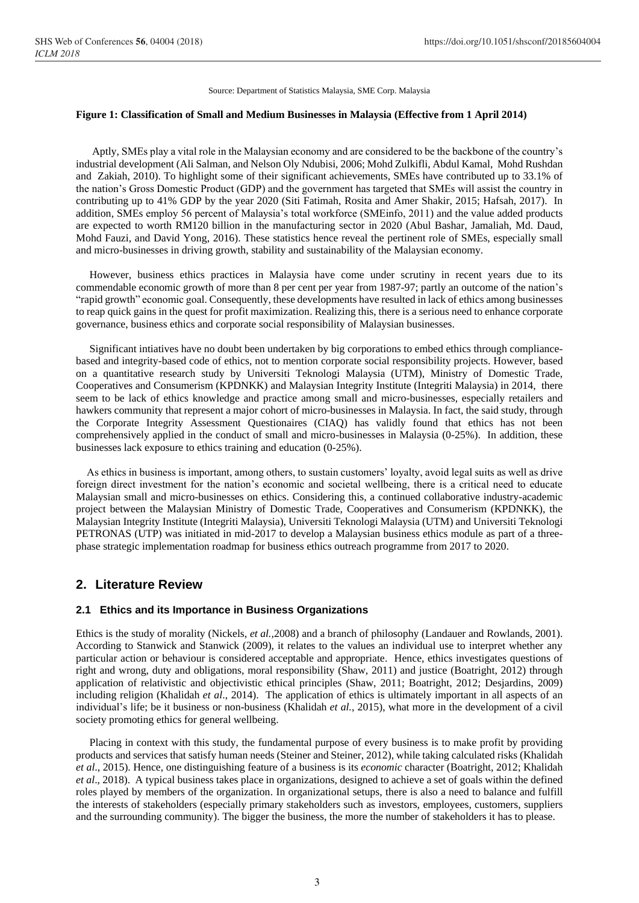Source: Department of Statistics Malaysia, SME Corp. Malaysia

#### **Figure 1: Classification of Small and Medium Businesses in Malaysia (Effective from 1 April 2014)**

 Aptly, SMEs play a vital role in the Malaysian economy and are considered to be the backbone of the country's industrial development (Ali Salman, and Nelson Oly Ndubisi, 2006; Mohd Zulkifli, Abdul Kamal, Mohd Rushdan and Zakiah, 2010). To highlight some of their significant achievements, SMEs have contributed up to 33.1% of the nation's Gross Domestic Product (GDP) and the government has targeted that SMEs will assist the country in contributing up to 41% GDP by the year 2020 (Siti Fatimah, Rosita and Amer Shakir, 2015; Hafsah, 2017). In addition, SMEs employ 56 percent of Malaysia's total workforce (SMEinfo, 2011) and the value added products are expected to worth RM120 billion in the manufacturing sector in 2020 (Abul Bashar, Jamaliah, Md. Daud, Mohd Fauzi, and David Yong, 2016). These statistics hence reveal the pertinent role of SMEs, especially small and micro-businesses in driving growth, stability and sustainability of the Malaysian economy.

 However, business ethics practices in Malaysia have come under scrutiny in recent years due to its commendable economic growth of more than 8 per cent per year from 1987-97; partly an outcome of the nation's "rapid growth" economic goal. Consequently, these developments have resulted in lack of ethics among businesses to reap quick gains in the quest for profit maximization. Realizing this, there is a serious need to enhance corporate governance, business ethics and corporate social responsibility of Malaysian businesses.

 Significant intiatives have no doubt been undertaken by big corporations to embed ethics through compliancebased and integrity-based code of ethics, not to mention corporate social responsibility projects. However, based on a quantitative research study by Universiti Teknologi Malaysia (UTM), Ministry of Domestic Trade, Cooperatives and Consumerism (KPDNKK) and Malaysian Integrity Institute (Integriti Malaysia) in 2014, there seem to be lack of ethics knowledge and practice among small and micro-businesses, especially retailers and hawkers community that represent a major cohort of micro-businesses in Malaysia. In fact, the said study, through the Corporate Integrity Assessment Questionaires (CIAQ) has validly found that ethics has not been comprehensively applied in the conduct of small and micro-businesses in Malaysia (0-25%). In addition, these businesses lack exposure to ethics training and education (0-25%).

 As ethics in business is important, among others, to sustain customers' loyalty, avoid legal suits as well as drive foreign direct investment for the nation's economic and societal wellbeing, there is a critical need to educate Malaysian small and micro-businesses on ethics. Considering this, a continued collaborative industry-academic project between the Malaysian Ministry of Domestic Trade, Cooperatives and Consumerism (KPDNKK), the Malaysian Integrity Institute (Integriti Malaysia), Universiti Teknologi Malaysia (UTM) and Universiti Teknologi PETRONAS (UTP) was initiated in mid-2017 to develop a Malaysian business ethics module as part of a threephase strategic implementation roadmap for business ethics outreach programme from 2017 to 2020.

### **2. Literature Review**

### **2.1 Ethics and its Importance in Business Organizations**

Ethics is the study of morality (Nickels, *et al.,*2008) and a branch of philosophy (Landauer and Rowlands, 2001). According to Stanwick and Stanwick (2009), it relates to the values an individual use to interpret whether any particular action or behaviour is considered acceptable and appropriate. Hence, ethics investigates questions of right and wrong, duty and obligations, moral responsibility (Shaw, 2011) and justice (Boatright, 2012) through application of relativistic and objectivistic ethical principles (Shaw, 2011; Boatright, 2012; Desjardins, 2009) including religion (Khalidah *et al*., 2014). The application of ethics is ultimately important in all aspects of an individual's life; be it business or non-business (Khalidah *et al.,* 2015), what more in the development of a civil society promoting ethics for general wellbeing.

 Placing in context with this study, the fundamental purpose of every business is to make profit by providing products and services that satisfy human needs (Steiner and Steiner, 2012), while taking calculated risks (Khalidah *et al*., 2015). Hence, one distinguishing feature of a business is its *economic* character (Boatright, 2012; Khalidah *et al*., 2018). A typical business takes place in organizations, designed to achieve a set of goals within the defined roles played by members of the organization. In organizational setups, there is also a need to balance and fulfill the interests of stakeholders (especially primary stakeholders such as investors, employees, customers, suppliers and the surrounding community). The bigger the business, the more the number of stakeholders it has to please.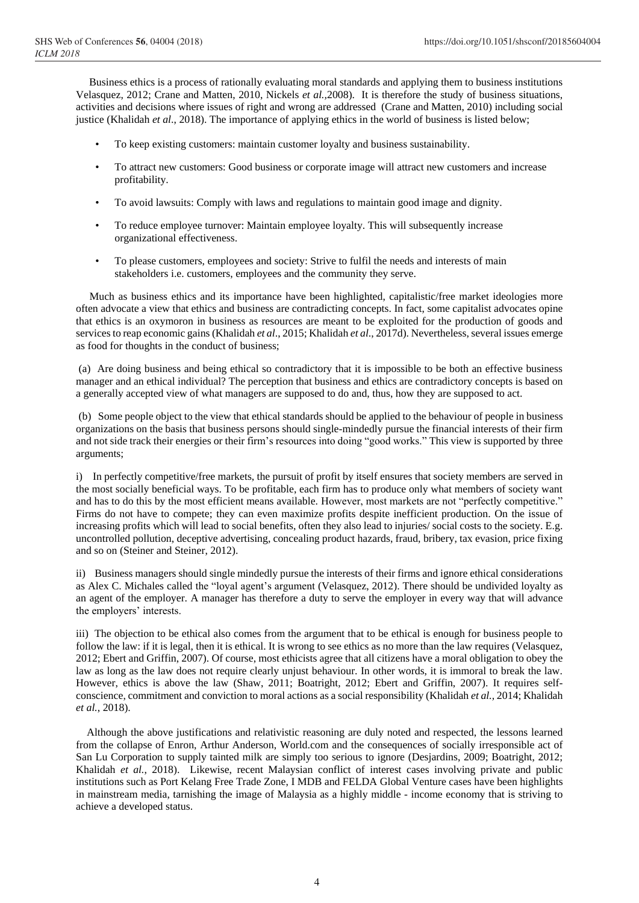Business ethics is a process of rationally evaluating moral standards and applying them to business institutions Velasquez, 2012; Crane and Matten, 2010, Nickels *et al.,*2008). It is therefore the study of business situations, activities and decisions where issues of right and wrong are addressed (Crane and Matten, 2010) including social justice (Khalidah *et al*., 2018). The importance of applying ethics in the world of business is listed below;

- To keep existing customers: maintain customer loyalty and business sustainability.
- To attract new customers: Good business or corporate image will attract new customers and increase profitability.
- To avoid lawsuits: Comply with laws and regulations to maintain good image and dignity.
- To reduce employee turnover: Maintain employee loyalty. This will subsequently increase organizational effectiveness.
- To please customers, employees and society: Strive to fulfil the needs and interests of main stakeholders i.e. customers, employees and the community they serve.

 Much as business ethics and its importance have been highlighted, capitalistic/free market ideologies more often advocate a view that ethics and business are contradicting concepts. In fact, some capitalist advocates opine that ethics is an oxymoron in business as resources are meant to be exploited for the production of goods and services to reap economic gains (Khalidah *et al*., 2015; Khalidah *et al*., 2017d). Nevertheless, several issues emerge as food for thoughts in the conduct of business;

(a) Are doing business and being ethical so contradictory that it is impossible to be both an effective business manager and an ethical individual? The perception that business and ethics are contradictory concepts is based on a generally accepted view of what managers are supposed to do and, thus, how they are supposed to act.

(b) Some people object to the view that ethical standards should be applied to the behaviour of people in business organizations on the basis that business persons should single-mindedly pursue the financial interests of their firm and not side track their energies or their firm's resources into doing "good works." This view is supported by three arguments;

i) In perfectly competitive/free markets, the pursuit of profit by itself ensures that society members are served in the most socially beneficial ways. To be profitable, each firm has to produce only what members of society want and has to do this by the most efficient means available. However, most markets are not "perfectly competitive." Firms do not have to compete; they can even maximize profits despite inefficient production. On the issue of increasing profits which will lead to social benefits, often they also lead to injuries/ social costs to the society. E.g. uncontrolled pollution, deceptive advertising, concealing product hazards, fraud, bribery, tax evasion, price fixing and so on (Steiner and Steiner, 2012).

ii)Business managers should single mindedly pursue the interests of their firms and ignore ethical considerations as Alex C. Michales called the "loyal agent's argument (Velasquez, 2012). There should be undivided loyalty as an agent of the employer. A manager has therefore a duty to serve the employer in every way that will advance the employers' interests.

iii) The objection to be ethical also comes from the argument that to be ethical is enough for business people to follow the law: if it is legal, then it is ethical. It is wrong to see ethics as no more than the law requires (Velasquez, 2012; Ebert and Griffin, 2007). Of course, most ethicists agree that all citizens have a moral obligation to obey the law as long as the law does not require clearly unjust behaviour. In other words, it is immoral to break the law. However, ethics is above the law (Shaw, 2011; Boatright, 2012; Ebert and Griffin, 2007). It requires selfconscience, commitment and conviction to moral actions as a social responsibility (Khalidah *et al.,* 2014; Khalidah *et al.*, 2018).

 Although the above justifications and relativistic reasoning are duly noted and respected, the lessons learned from the collapse of Enron, Arthur Anderson, World.com and the consequences of socially irresponsible act of San Lu Corporation to supply tainted milk are simply too serious to ignore (Desjardins, 2009; Boatright, 2012; Khalidah *et al.*, 2018). Likewise, recent Malaysian conflict of interest cases involving private and public institutions such as Port Kelang Free Trade Zone, I MDB and FELDA Global Venture cases have been highlights in mainstream media, tarnishing the image of Malaysia as a highly middle - income economy that is striving to achieve a developed status.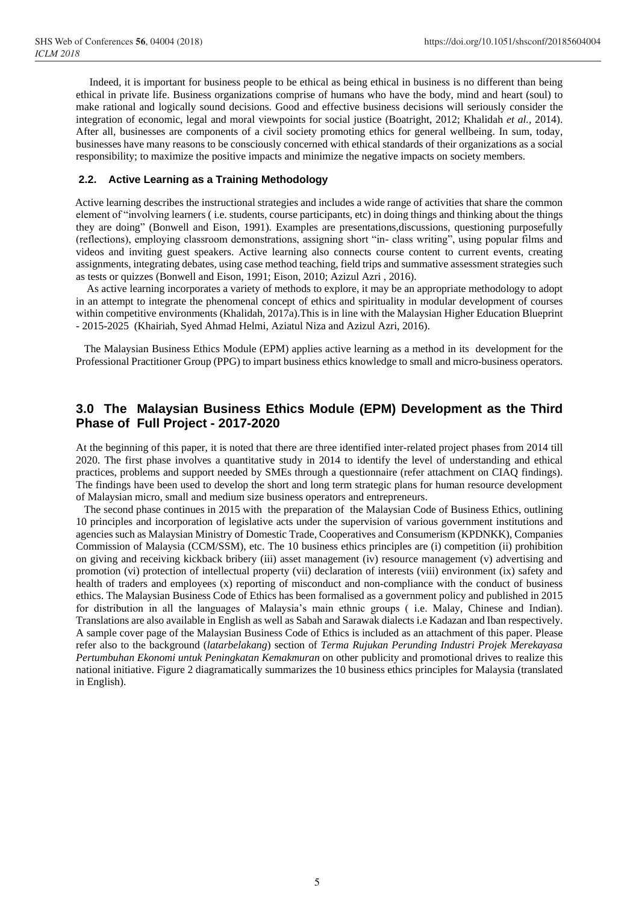Indeed, it is important for business people to be ethical as being ethical in business is no different than being ethical in private life. Business organizations comprise of humans who have the body, mind and heart (soul) to make rational and logically sound decisions. Good and effective business decisions will seriously consider the integration of economic, legal and moral viewpoints for social justice (Boatright, 2012; Khalidah *et al.,* 2014). After all, businesses are components of a civil society promoting ethics for general wellbeing. In sum, today, businesses have many reasons to be consciously concerned with ethical standards of their organizations as a social responsibility; to maximize the positive impacts and minimize the negative impacts on society members.

### **2.2. Active Learning as a Training Methodology**

 Active learning describes the instructional strategies and includes a wide range of activities that share the common element of "involving learners ( i.e. students, course participants, etc) in doing things and thinking about the things they are doing" (Bonwell and Eison, 1991). Examples are presentations,discussions, questioning purposefully (reflections), employing classroom demonstrations, assigning short "in- class writing", using popular films and videos and inviting guest speakers. Active learning also connects course content to current events, creating assignments, integrating debates, using case method teaching, field trips and summative assessment strategies such as tests or quizzes (Bonwell and Eison, 1991; Eison, 2010; Azizul Azri , 2016).

 As active learning incorporates a variety of methods to explore, it may be an appropriate methodology to adopt in an attempt to integrate the phenomenal concept of ethics and spirituality in modular development of courses within competitive environments (Khalidah, 2017a). This is in line with the Malaysian Higher Education Blueprint - 2015-2025 (Khairiah, Syed Ahmad Helmi, Aziatul Niza and Azizul Azri, 2016).

 The Malaysian Business Ethics Module (EPM) applies active learning as a method in its development for the Professional Practitioner Group (PPG) to impart business ethics knowledge to small and micro-business operators.

# **3.0 The Malaysian Business Ethics Module (EPM) Development as the Third Phase of Full Project - 2017-2020**

At the beginning of this paper, it is noted that there are three identified inter-related project phases from 2014 till 2020. The first phase involves a quantitative study in 2014 to identify the level of understanding and ethical practices, problems and support needed by SMEs through a questionnaire (refer attachment on CIAQ findings). The findings have been used to develop the short and long term strategic plans for human resource development of Malaysian micro, small and medium size business operators and entrepreneurs.

 The second phase continues in 2015 with the preparation of the Malaysian Code of Business Ethics, outlining 10 principles and incorporation of legislative acts under the supervision of various government institutions and agencies such as Malaysian Ministry of Domestic Trade, Cooperatives and Consumerism (KPDNKK), Companies Commission of Malaysia (CCM/SSM), etc. The 10 business ethics principles are (i) competition (ii) prohibition on giving and receiving kickback bribery (iii) asset management (iv) resource management (v) advertising and promotion (vi) protection of intellectual property (vii) declaration of interests (viii) environment (ix) safety and health of traders and employees (x) reporting of misconduct and non-compliance with the conduct of business ethics. The Malaysian Business Code of Ethics has been formalised as a government policy and published in 2015 for distribution in all the languages of Malaysia's main ethnic groups ( i.e. Malay, Chinese and Indian). Translations are also available in English as well as Sabah and Sarawak dialects i.e Kadazan and Iban respectively. A sample cover page of the Malaysian Business Code of Ethics is included as an attachment of this paper. Please refer also to the background (*latarbelakang*) section of *Terma Rujukan Perunding Industri Projek Merekayasa Pertumbuhan Ekonomi untuk Peningkatan Kemakmuran* on other publicity and promotional drives to realize this national initiative. Figure 2 diagramatically summarizes the 10 business ethics principles for Malaysia (translated in English).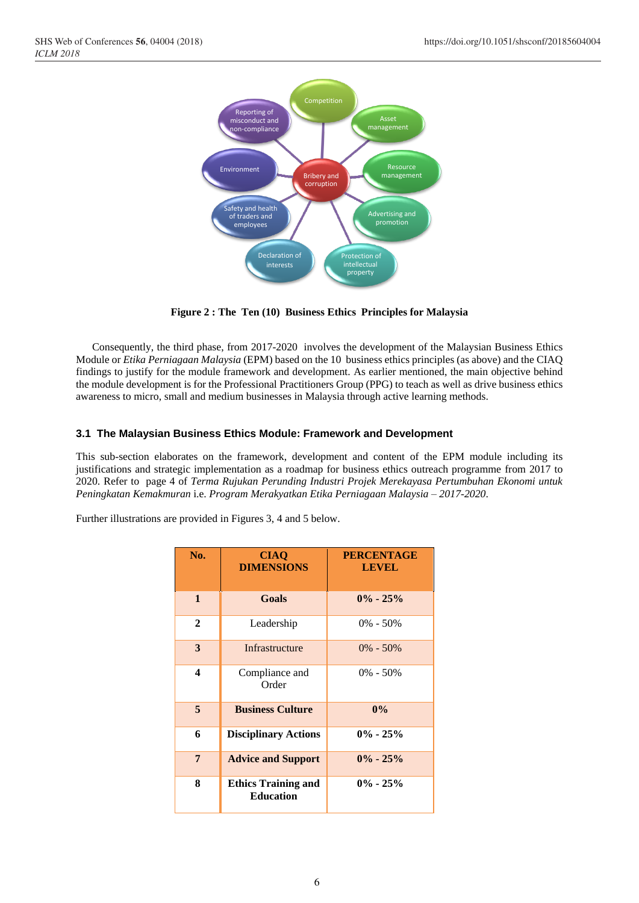

**Figure 2 : The Ten (10) Business Ethics Principles for Malaysia**

 Consequently, the third phase, from 2017-2020 involves the development of the Malaysian Business Ethics Module or *Etika Perniagaan Malaysia* (EPM) based on the 10 business ethics principles (as above) and the CIAQ findings to justify for the module framework and development. As earlier mentioned, the main objective behind the module development is for the Professional Practitioners Group (PPG) to teach as well as drive business ethics awareness to micro, small and medium businesses in Malaysia through active learning methods.

### **3.1 The Malaysian Business Ethics Module: Framework and Development**

This sub-section elaborates on the framework, development and content of the EPM module including its justifications and strategic implementation as a roadmap for business ethics outreach programme from 2017 to 2020. Refer to page 4 of *Terma Rujukan Perunding Industri Projek Merekayasa Pertumbuhan Ekonomi untuk Peningkatan Kemakmuran* i.e. *Program Merakyatkan Etika Perniagaan Malaysia – 2017-2020*.

Further illustrations are provided in Figures 3, 4 and 5 below.

| No.          | <b>CIAQ</b><br><b>DIMENSIONS</b>               | <b>PERCENTAGE</b><br><b>LEVEL</b> |
|--------------|------------------------------------------------|-----------------------------------|
| $\mathbf{1}$ | Goals                                          | $0\% - 25\%$                      |
| $\mathbf{2}$ | Leadership                                     | $0\% - 50\%$                      |
| 3            | Infrastructure                                 | $0\% - 50\%$                      |
| 4            | Compliance and<br>Order                        | $0\% - 50\%$                      |
| 5            | <b>Business Culture</b>                        | $0\%$                             |
| 6            | <b>Disciplinary Actions</b>                    | $0\% - 25\%$                      |
| 7            | <b>Advice and Support</b>                      | $0\% - 25\%$                      |
| 8            | <b>Ethics Training and</b><br><b>Education</b> | $0\% - 25\%$                      |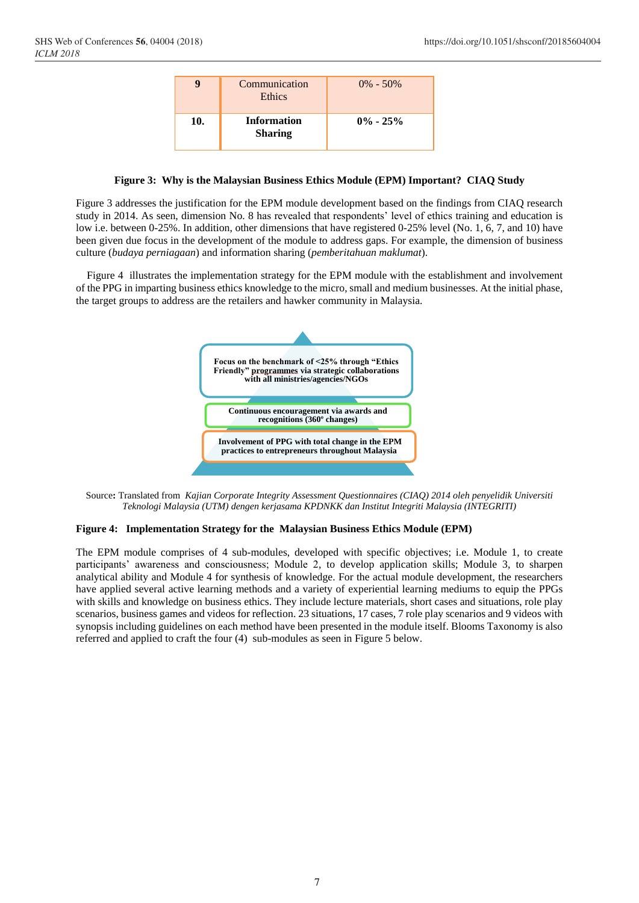|     | Communication<br><b>Ethics</b>       | $0\% - 50\%$ |
|-----|--------------------------------------|--------------|
| 10. | <b>Information</b><br><b>Sharing</b> | $0\% - 25\%$ |

#### **Figure 3: Why is the Malaysian Business Ethics Module (EPM) Important? CIAQ Study**

Figure 3 addresses the justification for the EPM module development based on the findings from CIAQ research study in 2014. As seen, dimension No. 8 has revealed that respondents' level of ethics training and education is low i.e. between 0-25%. In addition, other dimensions that have registered 0-25% level (No. 1, 6, 7, and 10) have been given due focus in the development of the module to address gaps. For example, the dimension of business culture (*budaya perniagaan*) and information sharing (*pemberitahuan maklumat*).

 Figure 4 illustrates the implementation strategy for the EPM module with the establishment and involvement of the PPG in imparting business ethics knowledge to the micro, small and medium businesses. At the initial phase, the target groups to address are the retailers and hawker community in Malaysia.



Source**:** Translated from*Kajian Corporate Integrity Assessment Questionnaires (CIAQ) 2014 oleh penyelidik Universiti Teknologi Malaysia (UTM) dengen kerjasama KPDNKK dan Institut Integriti Malaysia (INTEGRITI)*

#### **Figure 4: Implementation Strategy for the Malaysian Business Ethics Module (EPM)**

The EPM module comprises of 4 sub-modules, developed with specific objectives; i.e. Module 1, to create participants' awareness and consciousness; Module 2, to develop application skills; Module 3, to sharpen analytical ability and Module 4 for synthesis of knowledge. For the actual module development, the researchers have applied several active learning methods and a variety of experiential learning mediums to equip the PPGs with skills and knowledge on business ethics. They include lecture materials, short cases and situations, role play scenarios, business games and videos for reflection. 23 situations, 17 cases, 7 role play scenarios and 9 videos with synopsis including guidelines on each method have been presented in the module itself. Blooms Taxonomy is also referred and applied to craft the four (4) sub-modules as seen in Figure 5 below.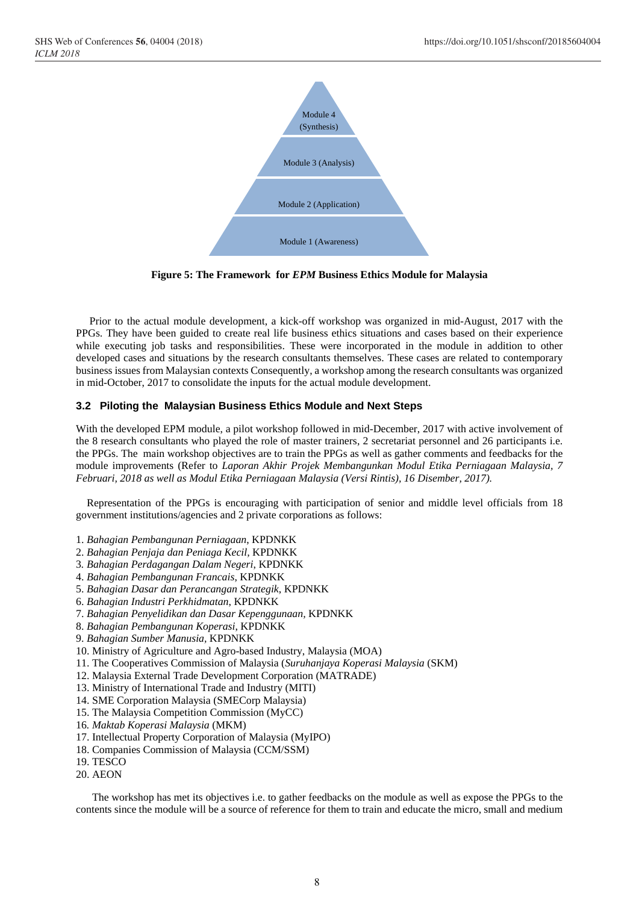

**Figure 5: The Framework for** *EPM* **Business Ethics Module for Malaysia**

 Prior to the actual module development, a kick-off workshop was organized in mid-August, 2017 with the PPGs. They have been guided to create real life business ethics situations and cases based on their experience while executing job tasks and responsibilities. These were incorporated in the module in addition to other developed cases and situations by the research consultants themselves. These cases are related to contemporary business issues from Malaysian contexts Consequently, a workshop among the research consultants was organized in mid-October, 2017 to consolidate the inputs for the actual module development.

### **3.2 Piloting the Malaysian Business Ethics Module and Next Steps**

With the developed EPM module, a pilot workshop followed in mid-December, 2017 with active involvement of the 8 research consultants who played the role of master trainers, 2 secretariat personnel and 26 participants i.e. the PPGs. The main workshop objectives are to train the PPGs as well as gather comments and feedbacks for the module improvements (Refer to *Laporan Akhir Projek Membangunkan Modul Etika Perniagaan Malaysia, 7 Februari, 2018 as well as Modul Etika Perniagaan Malaysia (Versi Rintis), 16 Disember, 2017).*

 Representation of the PPGs is encouraging with participation of senior and middle level officials from 18 government institutions/agencies and 2 private corporations as follows:

- 1. *Bahagian Pembangunan Perniagaan*, KPDNKK
- 2. *Bahagian Penjaja dan Peniaga Kecil,* KPDNKK
- 3*. Bahagian Perdagangan Dalam Negeri*, KPDNKK
- 4. *Bahagian Pembangunan Francais*, KPDNKK
- 5. *Bahagian Dasar dan Perancangan Strategik*, KPDNKK
- 6. *Bahagian Industri Perkhidmatan*, KPDNKK
- 7. *Bahagian Penyelidikan dan Dasar Kepenggunaan,* KPDNKK
- 8. *Bahagian Pembangunan Koperasi*, KPDNKK
- 9. *Bahagian Sumber Manusia,* KPDNKK
- 10. Ministry of Agriculture and Agro-based Industry, Malaysia (MOA)
- 11. The Cooperatives Commission of Malaysia (*Suruhanjaya Koperasi Malaysia* (SKM)
- 12. Malaysia External Trade Development Corporation (MATRADE)
- 13. Ministry of International Trade and Industry (MITI)
- 14. SME Corporation Malaysia (SMECorp Malaysia)
- 15. The Malaysia Competition Commission (MyCC)
- 16*. Maktab Koperasi Malaysia* (MKM)
- 17. Intellectual Property Corporation of Malaysia (MyIPO)
- 18. Companies Commission of Malaysia (CCM/SSM)
- 19. TESCO
- 20. AEON

 The workshop has met its objectives i.e. to gather feedbacks on the module as well as expose the PPGs to the contents since the module will be a source of reference for them to train and educate the micro, small and medium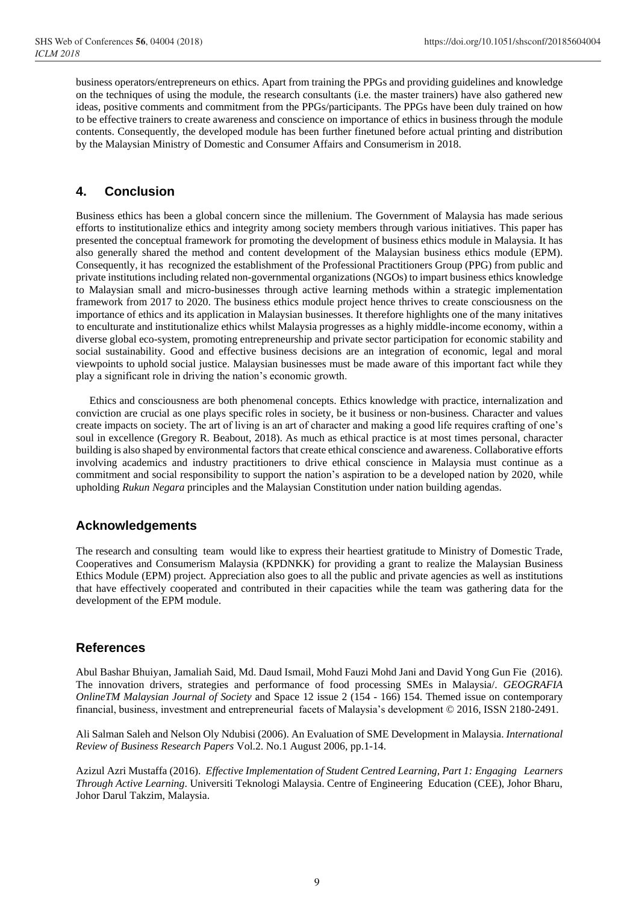business operators/entrepreneurs on ethics. Apart from training the PPGs and providing guidelines and knowledge on the techniques of using the module, the research consultants (i.e. the master trainers) have also gathered new ideas, positive comments and commitment from the PPGs/participants. The PPGs have been duly trained on how to be effective trainers to create awareness and conscience on importance of ethics in business through the module contents. Consequently, the developed module has been further finetuned before actual printing and distribution by the Malaysian Ministry of Domestic and Consumer Affairs and Consumerism in 2018.

# **4. Conclusion**

Business ethics has been a global concern since the millenium. The Government of Malaysia has made serious efforts to institutionalize ethics and integrity among society members through various initiatives. This paper has presented the conceptual framework for promoting the development of business ethics module in Malaysia. It has also generally shared the method and content development of the Malaysian business ethics module (EPM). Consequently, it has recognized the establishment of the Professional Practitioners Group (PPG) from public and private institutions including related non-governmental organizations (NGOs) to impart business ethics knowledge to Malaysian small and micro-businesses through active learning methods within a strategic implementation framework from 2017 to 2020. The business ethics module project hence thrives to create consciousness on the importance of ethics and its application in Malaysian businesses. It therefore highlights one of the many initatives to enculturate and institutionalize ethics whilst Malaysia progresses as a highly middle-income economy, within a diverse global eco-system, promoting entrepreneurship and private sector participation for economic stability and social sustainability. Good and effective business decisions are an integration of economic, legal and moral viewpoints to uphold social justice. Malaysian businesses must be made aware of this important fact while they play a significant role in driving the nation's economic growth.

 Ethics and consciousness are both phenomenal concepts. Ethics knowledge with practice, internalization and conviction are crucial as one plays specific roles in society, be it business or non-business. Character and values create impacts on society. The art of living is an art of character and making a good life requires crafting of one's soul in excellence (Gregory R. Beabout, 2018). As much as ethical practice is at most times personal, character building is also shaped by environmental factors that create ethical conscience and awareness. Collaborative efforts involving academics and industry practitioners to drive ethical conscience in Malaysia must continue as a commitment and social responsibility to support the nation's aspiration to be a developed nation by 2020, while upholding *Rukun Negara* principles and the Malaysian Constitution under nation building agendas.

# **Acknowledgements**

The research and consulting team would like to express their heartiest gratitude to Ministry of Domestic Trade, Cooperatives and Consumerism Malaysia (KPDNKK) for providing a grant to realize the Malaysian Business Ethics Module (EPM) project. Appreciation also goes to all the public and private agencies as well as institutions that have effectively cooperated and contributed in their capacities while the team was gathering data for the development of the EPM module.

# **References**

Abul Bashar Bhuiyan, Jamaliah Said, Md. Daud Ismail, Mohd Fauzi Mohd Jani and David Yong Gun Fie (2016). The innovation drivers, strategies and performance of food processing SMEs in Malaysia/. *GEOGRAFIA OnlineTM Malaysian Journal of Society* and Space 12 issue 2 (154 - 166) 154. Themed issue on contemporary financial, business, investment and entrepreneurial facets of Malaysia's development © 2016, ISSN 2180-2491.

Ali Salman Saleh and Nelson Oly Ndubisi (2006). An Evaluation of SME Development in Malaysia. *International Review of Business Research Papers* Vol.2. No.1 August 2006, pp.1-14.

Azizul Azri Mustaffa (2016). *Effective Implementation of Student Centred Learning, Part 1: Engaging Learners Through Active Learning*. Universiti Teknologi Malaysia. Centre of Engineering Education (CEE), Johor Bharu, Johor Darul Takzim, Malaysia.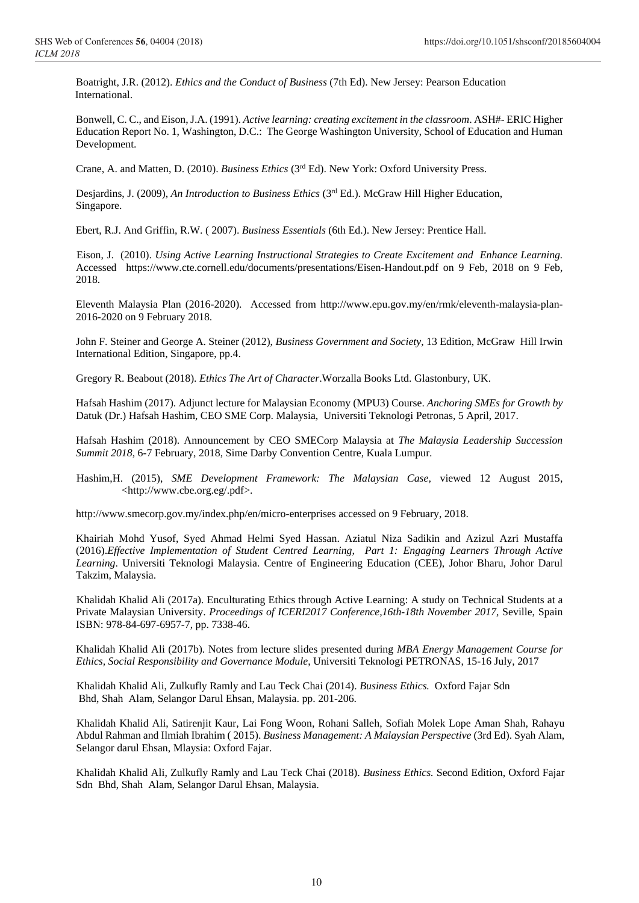Boatright, J.R. (2012). *Ethics and the Conduct of Business* (7th Ed). New Jersey: Pearson Education International.

Bonwell, C. C., and Eison, J.A. (1991). *Active learning: creating excitement in the classroom*. ASH#- ERIC Higher Education Report No. 1, Washington, D.C.: The George Washington University, School of Education and Human Development.

Crane, A. and Matten, D. (2010). *Business Ethics* (3rd Ed). New York: Oxford University Press.

Desjardins, J. (2009), *An Introduction to Business Ethics* (3rd Ed.). McGraw Hill Higher Education, Singapore.

Ebert, R.J. And Griffin, R.W. ( 2007). *Business Essentials* (6th Ed.). New Jersey: Prentice Hall.

Eison, J. (2010). *Using Active Learning Instructional Strategies to Create Excitement and Enhance Learning.*  Accessed <https://www.cte.cornell.edu/documents/presentations/Eisen-Handout.pdf> on 9 Feb, 2018 on 9 Feb, 2018.

Eleventh Malaysia Plan (2016-2020). Accessed from [http://www.epu.gov.my/en/rmk/eleventh-malaysia-plan-](http://www.epu.gov.my/en/rmk/eleventh-malaysia-plan-2016-2020%20on%209%20February%202018)[2016-2020 on 9 February 2018.](http://www.epu.gov.my/en/rmk/eleventh-malaysia-plan-2016-2020%20on%209%20February%202018) 

John F. Steiner and George A. Steiner (2012), *Business Government and Society*, 13 Edition, McGraw Hill Irwin International Edition, Singapore, pp.4.

Gregory R. Beabout (2018). *Ethics The Art of Character*.Worzalla Books Ltd. Glastonbury, UK.

Hafsah Hashim (2017). Adjunct lecture for Malaysian Economy (MPU3) Course. *Anchoring SMEs for Growth by* Datuk (Dr.) Hafsah Hashim, CEO SME Corp. Malaysia, Universiti Teknologi Petronas, 5 April, 2017.

Hafsah Hashim (2018). Announcement by CEO SMECorp Malaysia at *The Malaysia Leadership Succession Summit 2018,* 6-7 February, 2018, Sime Darby Convention Centre, Kuala Lumpur.

 Hashim,H. (2015), *SME Development Framework: The Malaysian Case,* viewed 12 August 2015, <http://www.cbe.org.eg/.pdf>.

<http://www.smecorp.gov.my/index.php/en/micro-enterprises> accessed on 9 February, 2018.

Khairiah Mohd Yusof, Syed Ahmad Helmi Syed Hassan. Aziatul Niza Sadikin and Azizul Azri Mustaffa (2016).*Effective Implementation of Student Centred Learning, Part 1: Engaging Learners Through Active Learning*. Universiti Teknologi Malaysia. Centre of Engineering Education (CEE), Johor Bharu, Johor Darul Takzim, Malaysia.

 Khalidah Khalid Ali (2017a). Enculturating Ethics through Active Learning: A study on Technical Students at a Private Malaysian University. *Proceedings of ICERI2017 Conference,16th-18th November 2017,* Seville, Spain ISBN: 978-84-697-6957-7, pp. 7338-46.

Khalidah Khalid Ali (2017b). Notes from lecture slides presented during *MBA Energy Management Course for Ethics, Social Responsibility and Governance Module*, Universiti Teknologi PETRONAS, 15-16 July, 2017

 Khalidah Khalid Ali, Zulkufly Ramly and Lau Teck Chai (2014). *Business Ethics.* Oxford Fajar Sdn Bhd, Shah Alam, Selangor Darul Ehsan, Malaysia. pp. 201-206.

 Khalidah Khalid Ali, Satirenjit Kaur, Lai Fong Woon, Rohani Salleh, Sofiah Molek Lope Aman Shah, Rahayu Abdul Rahman and Ilmiah Ibrahim ( 2015). *Business Management: A Malaysian Perspective* (3rd Ed). Syah Alam, Selangor darul Ehsan, Mlaysia: Oxford Fajar.

KKhalidah Khalid Ali, Zulkufly Ramly and Lau Teck Chai (2018). *Business Ethics.* Second Edition, Oxford Fajar Sdn Bhd, Shah Alam, Selangor Darul Ehsan, Malaysia.